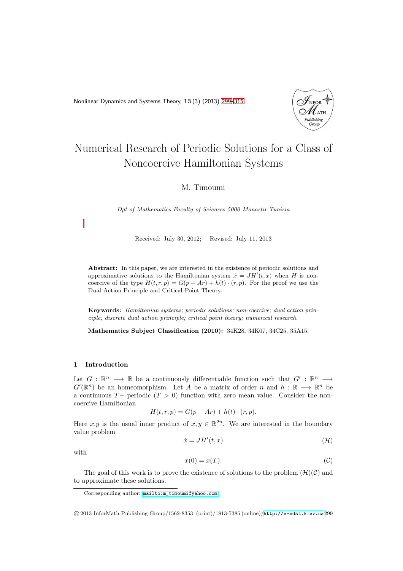<span id="page-0-0"></span>Nonlinear Dynamics and Systems Theory, 13 (3) (2013) [299–](#page-0-0)[315](#page-16-0)



# Numerical Research of Periodic Solutions for a Class of Noncoercive Hamiltonian Systems

M. Timoumi

Dpt of Mathematics-Faculty of Sciences-5000 Monastir-Tunisia

Received: July 30, 2012; Revised: July 11, 2013

Abstract: In this paper, we are interested in the existence of periodic solutions and approximative solutions to the Hamiltonian system  $\dot{x} = JH'(t,x)$  when H is noncoercive of the type  $H(t, r, p) = G(p - Ar) + h(t) \cdot (r, p)$ . For the proof we use the Dual Action Principle and Critical Point Theory.

Keywords: Hamiltonian systems; periodic solutions; non-coercive; dual action principle; discrete dual action principle; critical point theory; numerical research.

Mathematics Subject Classification (2010): 34K28, 34K07, 34C25, 35A15.

## 1 Introduction

Let  $G: \mathbb{R}^n \longrightarrow \mathbb{R}$  be a continuously differentiable function such that  $G' : \mathbb{R}^n \longrightarrow$  $G'(\mathbb{R}^n)$  be an homeomorphism. Let A be a matrix of order n and  $h : \mathbb{R} \longrightarrow \mathbb{R}^n$  be a continuous  $T-$  periodic  $(T > 0)$  function with zero mean value. Consider the noncoercive Hamiltonian

$$
H(t,r,p) = G(p - Ar) + h(t) \cdot (r,p).
$$

Here x,y is the usual inner product of  $x, y \in \mathbb{R}^{2n}$ . We are interested in the boundary value problem

$$
\dot{x} = JH'(t, x) \tag{H}
$$

with

$$
x(0) = x(T). \tag{C}
$$

The goal of this work is to prove the existence of solutions to the problem  $(\mathcal{H})(\mathcal{C})$  and to approximate these solutions.

Corresponding author: [mailto:m\\_timoumi@yahoo.com](mailto: m_timoumi@yahoo.com)

c 2013 InforMath Publishing Group/1562-8353 (print)/1813-7385 (online)/<http://e-ndst.kiev.ua>299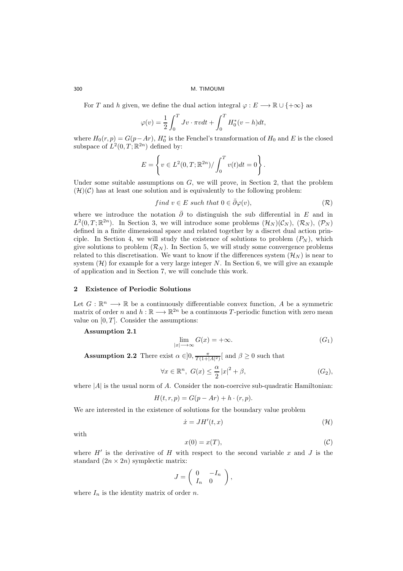For T and h given, we define the dual action integral  $\varphi : E \longrightarrow \mathbb{R} \cup \{+\infty\}$  as

$$
\varphi(v) = \frac{1}{2} \int_0^T Jv \cdot \pi v dt + \int_0^T H_0^*(v - h) dt,
$$

where  $H_0(r, p) = G(p - Ar)$ ,  $H_0^*$  is the Fenchel's transformation of  $H_0$  and E is the closed subspace of  $L^2(0,T;\mathbb{R}^{2n})$  defined by:

$$
E = \left\{ v \in L^{2}(0, T; \mathbb{R}^{2n}) / \int_{0}^{T} v(t) dt = 0 \right\}.
$$

Under some suitable assumptions on  $G$ , we will prove, in Section 2, that the problem  $(\mathcal{H})(\mathcal{C})$  has at least one solution and is equivalently to the following problem:

$$
find \ v \in E \ such \ that \ 0 \in \bar{\partial}\varphi(v), \tag{R}
$$

where we introduce the notation  $\bar{\partial}$  to distinguish the sub differential in E and in  $L^2(0,T;\mathbb{R}^{2n})$ . In Section 3, we will introduce some problems  $(\mathcal{H}_N)(\mathcal{C}_N)$ ,  $(\mathcal{R}_N)$ ,  $(\mathcal{P}_N)$ defined in a finite dimensional space and related together by a discret dual action principle. In Section 4, we will study the existence of solutions to problem  $(P_N)$ , which give solutions to problem  $(\mathcal{R}_N)$ . In Section 5, we will study some convergence problems related to this discretisation. We want to know if the differences system  $(\mathcal{H}_N)$  is near to system  $(\mathcal{H})$  for example for a very large integer N. In Section 6, we will give an example of application and in Section 7, we will conclude this work.

## 2 Existence of Periodic Solutions

Let  $G: \mathbb{R}^n \longrightarrow \mathbb{R}$  be a continuously differentiable convex function, A be a symmetric matrix of order n and  $h : \mathbb{R} \longrightarrow \mathbb{R}^{2n}$  be a continuous T-periodic function with zero mean value on  $[0, T]$ . Consider the assumptions:

Assumption 2.1

$$
\lim_{|x| \to \infty} G(x) = +\infty. \tag{G_1}
$$

**Assumption 2.2** There exist  $\alpha \in ]0, \frac{\pi}{T(1+|A|^2)}[$  and  $\beta \ge 0$  such that

$$
\forall x \in \mathbb{R}^n, \ G(x) \le \frac{\alpha}{2} |x|^2 + \beta, \tag{G_2},
$$

where  $|A|$  is the usual norm of A. Consider the non-coercive sub-quadratic Hamiltonian:

$$
H(t, r, p) = G(p - Ar) + h \cdot (r, p).
$$

We are interested in the existence of solutions for the boundary value problem

$$
\dot{x} = JH'(t, x) \tag{H}
$$

with

$$
x(0) = x(T), \tag{C}
$$

where  $H'$  is the derivative of H with respect to the second variable x and J is the standard  $(2n \times 2n)$  symplectic matrix:

$$
J = \left(\begin{array}{cc} 0 & -I_n \\ I_n & 0 \end{array}\right),
$$

where  $I_n$  is the identity matrix of order n.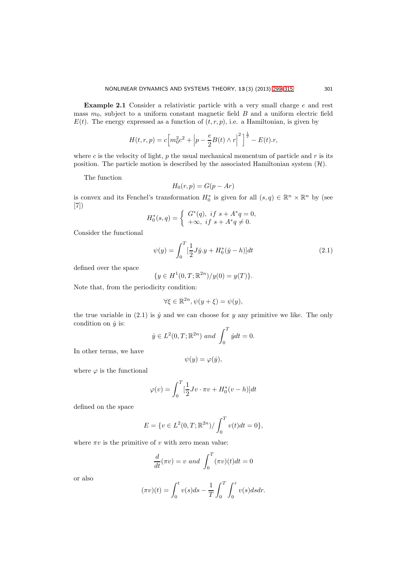Example 2.1 Consider a relativistic particle with a very small charge e and rest mass  $m_0$ , subject to a uniform constant magnetic field  $B$  and a uniform electric field  $E(t)$ . The energy expressed as a function of  $(t, r, p)$ , i.e. a Hamiltonian, is given by

$$
H(t,r,p) = c \Big[ m_0^2 c^2 + \Big| p - \frac{e}{2} B(t) \wedge r \Big|^2 \Big]^{\frac{1}{2}} - E(t).r,
$$

where c is the velocity of light,  $p$  the usual mechanical momentum of particle and  $r$  is its position. The particle motion is described by the associated Hamiltonian system  $(\mathcal{H})$ .

The function

$$
H_0(r,p) = G(p - Ar)
$$

is convex and its Fenchel's transformation  $H_0^*$  is given for all  $(s, q) \in \mathbb{R}^n \times \mathbb{R}^n$  by (see [7])

$$
H_0^*(s, q) = \begin{cases} G^*(q), & \text{if } s + A^*q = 0, \\ +\infty, & \text{if } s + A^*q \neq 0. \end{cases}
$$

Consider the functional

$$
\psi(y) = \int_0^T \left[\frac{1}{2}J\dot{y}\cdot y + H_0^*(\dot{y} - h)\right]dt\tag{2.1}
$$

defined over the space

$$
\{y \in H^1(0,T; \mathbb{R}^{2n})/y(0) = y(T)\}.
$$

Note that, from the periodicity condition:

$$
\forall \xi \in \mathbb{R}^{2n}, \psi(y + \xi) = \psi(y),
$$

the true variable in  $(2.1)$  is  $\dot{y}$  and we can choose for y any primitive we like. The only condition on  $\dot{u}$  is:

$$
\dot{y} \in L^2(0, T; \mathbb{R}^{2n}) \text{ and } \int_0^T \dot{y} dt = 0.
$$

In other terms, we have

$$
\psi(y)=\varphi(\dot y),
$$

where  $\varphi$  is the functional

$$
\varphi(v) = \int_0^T \left[\frac{1}{2}Jv \cdot \pi v + H_0^*(v - h)\right] dt
$$

defined on the space

$$
E = \{ v \in L^{2}(0, T; \mathbb{R}^{2n}) / \int_{0}^{T} v(t)dt = 0 \},\
$$

where  $\pi v$  is the primitive of v with zero mean value:

$$
\frac{d}{dt}(\pi v) = v \text{ and } \int_0^T (\pi v)(t)dt = 0
$$

or also

$$
(\pi v)(t) = \int_0^t v(s)ds - \frac{1}{T} \int_0^T \int_0^r v(s)ds dr.
$$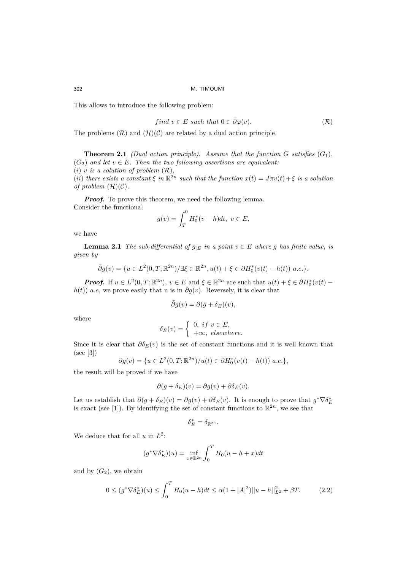This allows to introduce the following problem:

$$
find \ v \in E \ such \ that \ 0 \in \bar{\partial}\varphi(v). \tag{R}
$$

The problems  $(\mathcal{R})$  and  $(\mathcal{H})(\mathcal{C})$  are related by a dual action principle.

**Theorem 2.1** (Dual action principle). Assume that the function G satisfies  $(G_1)$ ,  $(G_2)$  and let  $v \in E$ . Then the two following assertions are equivalent: (i) v is a solution of problem  $(R)$ ,

(ii) there exists a constant  $\xi$  in  $\mathbb{R}^{2n}$  such that the function  $x(t) = J\pi v(t) + \xi$  is a solution of problem  $(\mathcal{H})(\mathcal{C})$ .

**Proof.** To prove this theorem, we need the following lemma. Consider the functional

$$
g(v) = \int_{T}^{0} H_0^*(v - h) dt, \ v \in E,
$$

we have

**Lemma 2.1** The sub-differential of  $g_{|E}$  in a point  $v \in E$  where g has finite value, is given by

$$
\bar\partial g(v)=\{u\in L^2(0,T;\mathbb{R}^{2n})/\exists\xi\in\mathbb{R}^{2n},u(t)+\xi\in\partial H_0^*(v(t)-h(t))\,\,a.e.\}.
$$

**Proof.** If  $u \in L^2(0,T;\mathbb{R}^{2n})$ ,  $v \in E$  and  $\xi \in \mathbb{R}^{2n}$  are such that  $u(t) + \xi \in \partial H_0^*(v(t))$ h(t)) a.e, we prove easily that u is in  $\bar{\partial}g(v)$ . Reversely, it is clear that

$$
\bar{\partial}g(v) = \partial(g + \delta_E)(v),
$$

where

$$
\delta_E(v) = \begin{cases} 0, & if \ v \in E, \\ +\infty, & elsewhere. \end{cases}
$$

Since it is clear that  $\partial \delta_E(v)$  is the set of constant functions and it is well known that (see [3])

$$
\partial g(v) = \{ u \in L^2(0, T; \mathbb{R}^{2n}) / u(t) \in \partial H_0^*(v(t) - h(t)) \ a.e. \},
$$

the result will be proved if we have

$$
\partial(g + \delta_E)(v) = \partial g(v) + \partial \delta_E(v).
$$

Let us establish that  $\partial(g + \delta_E)(v) = \partial g(v) + \partial \delta_E(v)$ . It is enough to prove that  $g^* \nabla \delta_E^*$ is exact (see [1]). By identifying the set of constant functions to  $\mathbb{R}^{2n}$ , we see that

$$
\delta_E^*=\delta_{\mathbb{R}^{2n}}.
$$

We deduce that for all  $u$  in  $L^2$ :

$$
(g^*\nabla \delta_E^*)(u) = \inf_{x \in \mathbb{R}^{2n}} \int_0^T H_0(u - h + x) dt
$$

and by  $(G_2)$ , we obtain

$$
0 \le (g^* \nabla \delta_E^*)(u) \le \int_0^T H_0(u-h)dt \le \alpha (1+|A|^2)||u-h||_{L^2}^2 + \beta T. \tag{2.2}
$$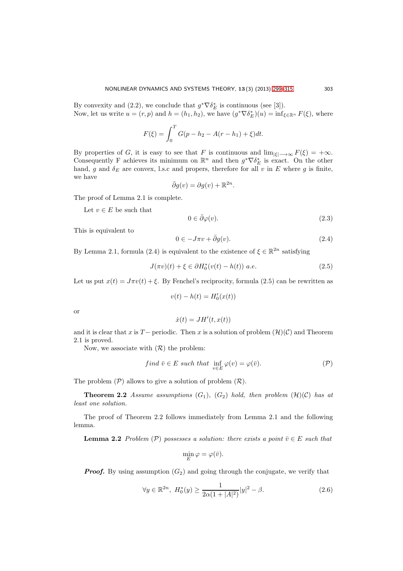By convexity and (2.2), we conclude that  $g^*\nabla \delta_E^*$  is continuous (see [3]). Now, let us write  $u = (r, p)$  and  $h = (h_1, h_2)$ , we have  $(g^*\nabla \delta_E^*)(u) = \inf_{\xi \in \mathbb{R}^n} F(\xi)$ , where

$$
F(\xi) = \int_0^T G(p - h_2 - A(r - h_1) + \xi) dt.
$$

By properties of G, it is easy to see that F is continuous and  $\lim_{|\xi| \to \infty} F(\xi) = +\infty$ . Consequently F achieves its minimum on  $\mathbb{R}^n$  and then  $g^*\nabla \delta_E^*$  is exact. On the other hand, q and  $\delta_F$  are convex, l.s.c and propers, therefore for all v in E where q is finite, we have

$$
\bar{\partial}g(v) = \partial g(v) + \mathbb{R}^{2n}.
$$

The proof of Lemma 2.1 is complete.

Let  $v \in E$  be such that

$$
0 \in \bar{\partial}\varphi(v). \tag{2.3}
$$

This is equivalent to

$$
0 \in -J\pi v + \bar{\partial}g(v). \tag{2.4}
$$

By Lemma 2.1, formula (2.4) is equivalent to the existence of  $\xi \in \mathbb{R}^{2n}$  satisfying

$$
J(\pi v)(t) + \xi \in \partial H_0^*(v(t) - h(t)) \ a.e. \tag{2.5}
$$

Let us put  $x(t) = J\pi v(t) + \xi$ . By Fenchel's reciprocity, formula (2.5) can be rewritten as

$$
v(t) - h(t) = H_0'(x(t))
$$

or

$$
\dot{x}(t) = JH'(t, x(t))
$$

and it is clear that x is  $T-$  periodic. Then x is a solution of problem  $(\mathcal{H})(\mathcal{C})$  and Theorem 2.1 is proved.

Now, we associate with  $(R)$  the problem:

$$
find \ \overline{v} \in E \ such \ that \ \inf_{v \in E} \varphi(v) = \varphi(\overline{v}). \tag{P}
$$

The problem  $(\mathcal{P})$  allows to give a solution of problem  $(\mathcal{R})$ .

**Theorem 2.2** Assume assumptions  $(G_1)$ ,  $(G_2)$  hold, then problem  $(\mathcal{H})(\mathcal{C})$  has at least one solution.

The proof of Theorem 2.2 follows immediately from Lemma 2.1 and the following lemma.

**Lemma 2.2** Problem (P) possesses a solution: there exists a point  $\bar{v} \in E$  such that

$$
\min_E \varphi = \varphi(\bar{v}).
$$

**Proof.** By using assumption  $(G_2)$  and going through the conjugate, we verify that

$$
\forall y \in \mathbb{R}^{2n}, \ H_0^*(y) \ge \frac{1}{2\alpha(1+|A|^2)}|y|^2 - \beta. \tag{2.6}
$$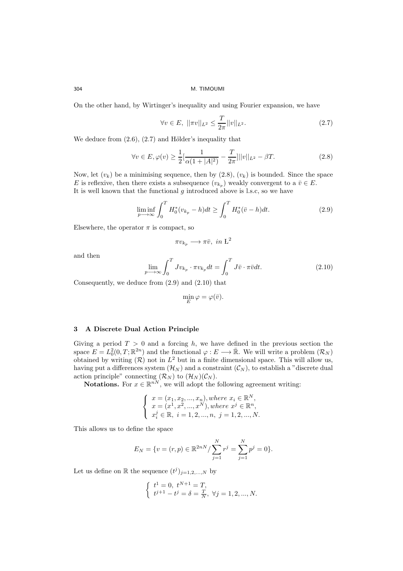On the other hand, by Wirtinger's inequality and using Fourier expansion, we have

$$
\forall v \in E, \ ||\pi v||_{L^2} \le \frac{T}{2\pi} ||v||_{L^2}.
$$
 (2.7)

We deduce from  $(2.6)$ ,  $(2.7)$  and Hölder's inequality that

$$
\forall v \in E, \varphi(v) \ge \frac{1}{2} \left[ \frac{1}{\alpha(1+|A|^2)} - \frac{T}{2\pi} \right] ||v||_{L^2} - \beta T.
$$
 (2.8)

Now, let  $(v_k)$  be a minimising sequence, then by  $(2.8)$ ,  $(v_k)$  is bounded. Since the space E is reflexive, then there exists a subsequence  $(v_{k_p})$  weakly convergent to a  $\bar{v} \in E$ . It is well known that the functional  $g$  introduced above is l.s.c, so we have

$$
\liminf_{p \to \infty} \int_0^T H_0^*(v_{k_p} - h) dt \ge \int_0^T H_0^*(\bar{v} - h) dt.
$$
 (2.9)

Elsewhere, the operator  $\pi$  is compact, so

$$
\pi v_{k_p} \longrightarrow \pi \bar{v}, \ in \ \mathcal{L}^2
$$

and then

$$
\lim_{p \to \infty} \int_0^T J v_{k_p} \cdot \pi v_{k_p} dt = \int_0^T J \bar{v} \cdot \pi \bar{v} dt.
$$
\n(2.10)

Consequently, we deduce from (2.9) and (2.10) that

$$
\min_E \varphi = \varphi(\bar{v}).
$$

# 3 A Discrete Dual Action Principle

Giving a period  $T > 0$  and a forcing h, we have defined in the previous section the space  $E = L_0^2(0,T;\mathbb{R}^{2n})$  and the functional  $\varphi : E \longrightarrow \bar{\mathbb{R}}$ . We will write a problem  $(\mathcal{R}_N)$ obtained by writing  $(\mathcal{R})$  not in  $L^2$  but in a finite dimensional space. This will allow us, having put a differences system  $(\mathcal{H}_N)$  and a constraint  $(\mathcal{C}_N)$ , to establish a "discrete dual action principle" connecting  $(\mathcal{R}_N)$  to  $(\mathcal{H}_N)(\mathcal{C}_N)$ .

**Notations.** For  $x \in \mathbb{R}^{n}$ , we will adopt the following agreement writing:

$$
\begin{cases}\nx = (x_1, x_2, ..., x_n), where \ x_i \in \mathbb{R}^N, \\
x = (x^1, x^2, ..., x^N), where \ x^j \in \mathbb{R}^n, \\
x_i^j \in \mathbb{R}, \ i = 1, 2, ..., n, \ j = 1, 2, ..., N.\n\end{cases}
$$

This allows us to define the space

$$
E_N = \{ v = (r, p) \in \mathbb{R}^{2nN} / \sum_{j=1}^{N} r^j = \sum_{j=1}^{N} p^j = 0 \}.
$$

Let us define on  $\mathbb R$  the sequence  $(t^j)_{j=1,2,...,N}$  by

$$
\begin{cases}\n t^1 = 0, \ t^{N+1} = T, \\
 t^{j+1} - t^j = \delta = \frac{T}{N}, \ \forall j = 1, 2, ..., N.\n\end{cases}
$$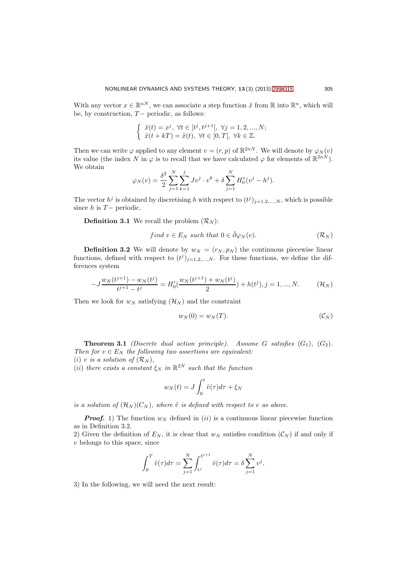With any vector  $x \in \mathbb{R}^{n}$ , we can associate a step function  $\tilde{x}$  from  $\mathbb{R}$  into  $\mathbb{R}^n$ , which will be, by construction, T− periodic, as follows:

$$
\begin{cases} \tilde{x}(t) = x^j, \ \forall t \in [t^j, t^{j+1}], \ \forall j = 1, 2, ..., N; \\ \tilde{x}(t + kT) = \tilde{x}(t), \ \forall t \in [0, T], \ \forall k \in \mathbb{Z}. \end{cases}
$$

Then we can write  $\varphi$  applied to any element  $v = (r, p)$  of  $\mathbb{R}^{2n}$ . We will denote by  $\varphi_N(v)$ its value (the index N in  $\varphi$  is to recall that we have calculated  $\varphi$  for elements of  $\mathbb{R}^{2n}$ ). We obtain

$$
\varphi_N(v) = \frac{\delta^2}{2} \sum_{j=1}^N \sum_{k=1}^j Jv^j \cdot v^k + \delta \sum_{j=1}^N H_0^*(v^j - h^j).
$$

The vector  $h^j$  is obtained by discretising h with respect to  $(t^j)_{j=1,2,\ldots,N}$ , which is possible since  $h$  is  $T-$  periodic.

**Definition 3.1** We recall the problem  $(\mathcal{R}_N)$ :

$$
find \ v \in E_N \ such \ that \ 0 \in \bar{\partial}\varphi_N(v). \tag{R_N}
$$

**Definition 3.2** We will denote by  $w_N = (r_N, p_N)$  the continuous piecewise linear functions, defined with respect to  $(t^j)_{j=1,2,\dots,N}$ . For these functions, we define the differences system

$$
-J\frac{w_N(t^{j+1}) - w_N(t^j)}{t^{j+1} - t^j} = H'_0(\frac{w_N(t^{j+1}) + w_N(t^j)}{2}) + h(t^j), j = 1, ..., N.
$$
 (H<sub>N</sub>)

Then we look for  $w_N$  satisfying  $(\mathcal{H}_N)$  and the constraint

$$
w_N(0) = w_N(T). \tag{C_N}
$$

**Theorem 3.1** (Discrete dual action principle). Assume G satisfies  $(G_1)$ ,  $(G_2)$ . Then for  $v \in E_N$  the following two assertions are equivalent:

(i) v is a solution of  $(\mathcal{R}_N)$ ,

(ii) there exists a constant  $\xi_N$  in  $\mathbb{R}^{2N}$  such that the function

$$
w_N(t) = J \int_0^t \tilde{v}(\tau) d\tau + \xi_N
$$

is a solution of  $(\mathcal{H}_N)(C_N)$ , where  $\tilde{v}$  is defined with respect to v as above.

**Proof.** 1) The function  $w_N$  defined in (ii) is a continuous linear piecewise function as in Definition 3.2.

2) Given the definition of  $E_N$ , it is clear that  $w_N$  satisfies condition  $(\mathcal{C}_N)$  if and only if  $v$  belongs to this space, since

$$
\int_0^T \tilde{v}(\tau)d\tau = \sum_{j=1}^N \int_{t^j}^{t^{j+1}} \tilde{v}(\tau)d\tau = \delta \sum_{j=1}^N v^j.
$$

3) In the following, we will need the next result: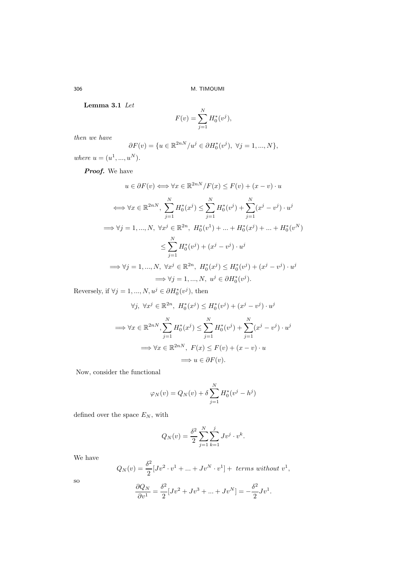Lemma 3.1 Let

$$
F(v) = \sum_{j=1}^{N} H_0^*(v^j),
$$

then we have

$$
\partial F(v) = \{ u \in \mathbb{R}^{2n} / u^j \in \partial H_0^*(v^j), \ \forall j = 1, ..., N \},\
$$

where  $u = (u^1, ..., u^N)$ .

**Proof.** We have

$$
u \in \partial F(v) \iff \forall x \in \mathbb{R}^{2n} / F(x) \le F(v) + (x - v) \cdot u
$$
  
\n
$$
\iff \forall x \in \mathbb{R}^{2n} , \sum_{j=1}^{N} H_0^*(x^j) \le \sum_{j=1}^{N} H_0^*(v^j) + \sum_{j=1}^{N} (x^j - v^j) \cdot u^j
$$
  
\n
$$
\implies \forall j = 1, ..., N, \forall x^j \in \mathbb{R}^{2n}, H_0^*(v^1) + ... + H_0^*(x^j) + ... + H_0^*(v^N)
$$
  
\n
$$
\le \sum_{j=1}^{N} H_0^*(v^j) + (x^j - v^j) \cdot u^j
$$
  
\n
$$
\implies \forall j = 1, ..., N, \forall x^j \in \mathbb{R}^{2n}, H_0^*(x^j) \le H_0^*(v^j) + (x^j - v^j) \cdot u^j
$$
  
\n
$$
\implies \forall j = 1, ..., N, u^j \in \partial H_0^*(v^j).
$$

Reversely, if  $\forall j = 1, ..., N, u^j \in \partial H_0^*(v^j)$ , then

$$
\forall j, \ \forall x^j \in \mathbb{R}^{2n}, \ H_0^*(x^j) \le H_0^*(v^j) + (x^j - v^j) \cdot u^j
$$
\n
$$
\implies \forall x \in \mathbb{R}^{2n} \to \sum_{j=1}^N H_0^*(x^j) \le \sum_{j=1}^N H_0^*(v^j) + \sum_{j=1}^N (x^j - v^j) \cdot u^j
$$
\n
$$
\implies \forall x \in \mathbb{R}^{2n} \to \dots \quad F(x) \le F(v) + (x - v) \cdot u
$$
\n
$$
\implies u \in \partial F(v).
$$

Now, consider the functional

$$
\varphi_N(v) = Q_N(v) + \delta \sum_{j=1}^N H_0^*(v^j - h^j)
$$

defined over the space  $E_N$ , with

$$
Q_N(v) = \frac{\delta^2}{2} \sum_{j=1}^N \sum_{k=1}^j Jv^j \cdot v^k.
$$

We have

$$
Q_N(v) = \frac{\delta^2}{2} [Jv^2 \cdot v^1 + \dots + Jv^N \cdot v^1] + \text{ terms without } v^1,
$$

so

$$
\frac{\partial Q_N}{\partial v^1} = \frac{\delta^2}{2} [Jv^2 + Jv^3 + \dots + Jv^N] = -\frac{\delta^2}{2} Jv^1.
$$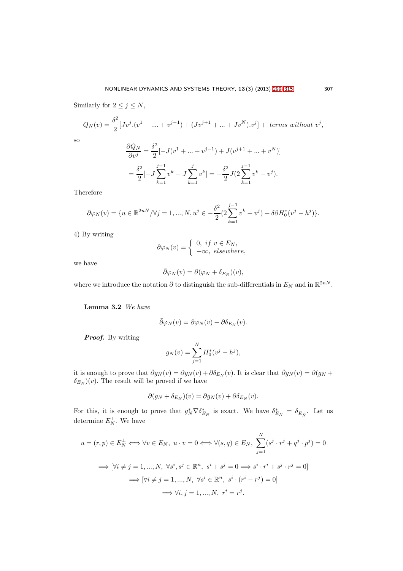Similarly for  $2 \leq j \leq N$ ,

$$
Q_N(v) = \frac{\delta^2}{2} [Jv^j \cdot (v^1 + \dots + v^{j-1}) + (Jv^{j+1} + \dots + Jv^N) \cdot v^j] + \text{ terms without } v^j,
$$

so

$$
\frac{\partial Q_N}{\partial v^j} = \frac{\delta^2}{2} [-J(v^1 + \dots + v^{j-1}) + J(v^{j+1} + \dots + v^N)]
$$
  
=  $\frac{\delta^2}{2} [-J \sum_{k=1}^{j-1} v^k - J \sum_{k=1}^j v^k] = -\frac{\delta^2}{2} J(2 \sum_{k=1}^{j-1} v^k + v^j).$ 

Therefore

$$
\partial \varphi_N(v) = \{ u \in \mathbb{R}^{2n} \setminus \forall j = 1, ..., N, u^j \in -\frac{\delta^2}{2} \left( 2 \sum_{k=1}^{j-1} v^k + v^j \right) + \delta \partial H_0^*(v^j - h^j) \}.
$$

4) By writing

$$
\partial \varphi_N(v) = \begin{cases} 0, & if \ v \in E_N, \\ +\infty, & elsewhere, \end{cases}
$$

we have

$$
\bar{\partial}\varphi_N(v)=\partial(\varphi_N+\delta_{E_N})(v),
$$

where we introduce the notation  $\bar{\partial}$  to distinguish the sub-differentials in  $E_N$  and in  $\mathbb{R}^{2n}$ .

Lemma 3.2 We have

$$
\bar{\partial}\varphi_N(v) = \partial\varphi_N(v) + \partial\delta_{E_N}(v).
$$

Proof. By writing

$$
g_N(v) = \sum_{j=1}^N H_0^*(v^j - h^j),
$$

it is enough to prove that  $\bar{\partial}g_N(v) = \partial g_N(v) + \partial \delta_{E_N}(v)$ . It is clear that  $\bar{\partial}g_N(v) = \partial (g_N + \delta_{E_N}(v))$  $(\delta_{E_N})(v)$ . The result will be proved if we have

$$
\partial(g_N + \delta_{E_N})(v) = \partial g_N(v) + \partial \delta_{E_N}(v).
$$

For this, it is enough to prove that  $g_N^* \nabla \delta_{E_N}^*$  is exact. We have  $\delta_{E_N}^* = \delta_{E_N^{\perp}}$ . Let us determine  $E_N^{\perp}$ . We have

$$
u = (r, p) \in E_N^{\perp} \iff \forall v \in E_N, \ u \cdot v = 0 \iff \forall (s, q) \in E_N, \ \sum_{j=1}^N (s^j \cdot r^j + q^j \cdot p^j) = 0
$$

$$
\implies [\forall i \neq j = 1, ..., N, \ \forall s^i, s^j \in \mathbb{R}^n, \ s^i + s^j = 0 \implies s^i \cdot r^i + s^j \cdot r^j = 0]
$$

$$
\implies [\forall i \neq j = 1, ..., N, \ \forall s^i \in \mathbb{R}^n, \ s^i \cdot (r^i - r^j) = 0]
$$

$$
\implies \forall i, j = 1, ..., N, \ r^i = r^j.
$$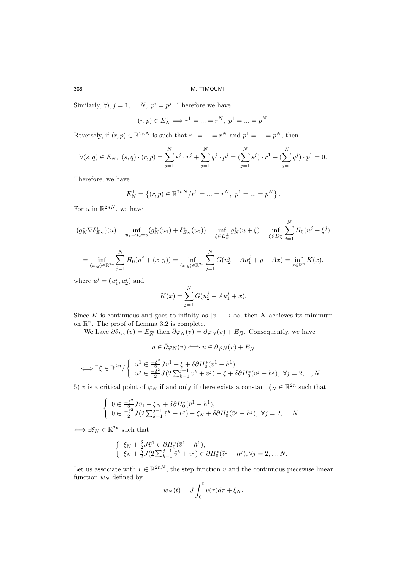Similarly,  $\forall i, j = 1, ..., N, p^i = p^j$ . Therefore we have

$$
(r, p) \in E_N^{\perp} \Longrightarrow r^1 = \dots = r^N, \ p^1 = \dots = p^N.
$$

Reversely, if  $(r, p) \in \mathbb{R}^{2nN}$  is such that  $r^1 = \ldots = r^N$  and  $p^1 = \ldots = p^N$ , then

$$
\forall (s,q) \in E_N, \ (s,q) \cdot (r,p) = \sum_{j=1}^N s^j \cdot r^j + \sum_{j=1}^N q^j \cdot p^j = \left(\sum_{j=1}^N s^j\right) \cdot r^1 + \left(\sum_{j=1}^N q^j\right) \cdot p^1 = 0.
$$

Therefore, we have

$$
E_N^{\perp} = \{(r, p) \in \mathbb{R}^{2nN} / r^1 = \dots = r^N, \ p^1 = \dots = p^N \}.
$$

For u in  $\mathbb{R}^{2n}$ , we have

$$
(g_N^*\nabla \delta_{E_N}^*)(u) = \inf_{u_1 + u_2 = u} (g_N^*(u_1) + \delta_{E_N}^*(u_2)) = \inf_{\xi \in E_N^{\perp}} g_N^*(u + \xi) = \inf_{\xi \in E_N^{\perp}} \sum_{j=1}^N H_0(u^j + \xi^j)
$$

$$
= \inf_{(x,y)\in\mathbb{R}^{2n}} \sum_{j=1}^N H_0(u^j + (x,y)) = \inf_{(x,y)\in\mathbb{R}^{2n}} \sum_{j=1}^N G(u_2^j - Au_1^j + y - Ax) = \inf_{x\in\mathbb{R}^n} K(x),
$$

where  $u^j = (u_1^j, u_2^j)$  and

$$
K(x) = \sum_{j=1}^{N} G(u_2^j - Au_1^j + x).
$$

Since K is continuous and goes to infinity as  $|x| \rightarrow \infty$ , then K achieves its minimum on  $\mathbb{R}^n$ . The proof of Lemma 3.2 is complete.

We have  $\partial \delta_{E_N}(v) = E_N^{\perp}$  then  $\bar{\partial}\varphi_N(v) = \partial \varphi_N(v) + E_N^{\perp}$ . Consequently, we have

$$
u \in \bar{\partial}\varphi_N(v) \Longleftrightarrow u \in \partial\varphi_N(v) + E_N^{\perp}
$$

$$
\iff \exists \xi \in \mathbb{R}^{2n} / \begin{cases} u^1 \in \frac{-\delta^2}{2} J v^1 + \xi + \delta \partial H_0^*(v^1 - h^1) \\ u^j \in \frac{-\delta^2}{2} J (2 \sum_{k=1}^{j-1} v^k + v^j) + \xi + \delta \partial H_0^*(v^j - h^j), \ \forall j = 2, ..., N. \end{cases}
$$

5) v is a critical point of  $\varphi_N$  if and only if there exists a constant  $\xi_N \in \mathbb{R}^{2n}$  such that

$$
\begin{cases} 0 \in \frac{-\delta^2}{2} J\bar{v}_1 - \xi_N + \delta \partial H_0^*(\bar{v}^1 - h^1), \\ 0 \in \frac{-\delta^2}{2} J(2 \sum_{k=1}^{j-1} \bar{v}^k + v^j) - \xi_N + \delta \partial H_0^*(\bar{v}^j - h^j), \ \forall j = 2, ..., N. \end{cases}
$$

 $\Longleftrightarrow \exists \xi_N \in \mathbb{R}^{2n}$  such that

$$
\left\{\begin{array}{l} \xi_N+\frac{\delta}{2}J\bar v^1\in \partial H_0^*(\bar v^1-h^1),\\ \xi_N+\frac{\delta}{2}J(2\sum_{k=1}^{j-1}\bar v^k+v^j)\in \partial H_0^*(\bar v^j-h^j), \forall j=2,...,N. \end{array}\right.
$$

Let us associate with  $v \in \mathbb{R}^{2n}$ , the step function  $\tilde{v}$  and the continuous piecewise linear function  $w_N$  defined by

$$
w_N(t) = J \int_0^t \tilde{v}(\tau) d\tau + \xi_N.
$$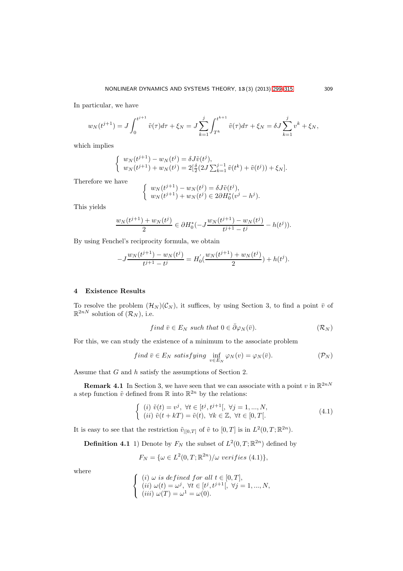In particular, we have

$$
w_N(t^{j+1}) = J \int_0^{t^{j+1}} \tilde{v}(\tau) d\tau + \xi_N = J \sum_{k=1}^j \int_{T^k}^{t^{k+1}} \tilde{v}(\tau) d\tau + \xi_N = \delta J \sum_{k=1}^j v^k + \xi_N,
$$

which implies

$$
\begin{cases}\nw_N(t^{j+1}) - w_N(t^j) = \delta J \tilde{v}(t^j), \\
w_N(t^{j+1}) + w_N(t^j) = 2[\frac{\delta}{2}(2J\sum_{k=1}^{j-1}\tilde{v}(t^k) + \tilde{v}(t^j)) + \xi_N].\n\end{cases}
$$

Therefore we have

$$
\begin{cases} w_N(t^{j+1}) - w_N(t^j) = \delta J \tilde{v}(t^j), \\ w_N(t^{j+1}) + w_N(t^j) \in 2\partial H_0^*(v^j - h^j). \end{cases}
$$

This yields

$$
\frac{w_N(t^{j+1}) + w_N(t^j)}{2} \in \partial H_0^*(-J\frac{w_N(t^{j+1}) - w_N(t^j)}{t^{j+1} - t^j} - h(t^j)).
$$

By using Fenchel's reciprocity formula, we obtain

$$
-J\frac{w_N(t^{j+1}) - w_N(t^j)}{t^{j+1} - t^j} = H'_0(\frac{w_N(t^{j+1}) + w_N(t^j)}{2}) + h(t^j).
$$

# 4 Existence Results

To resolve the problem  $(\mathcal{H}_N)(\mathcal{C}_N)$ , it suffices, by using Section 3, to find a point  $\bar{v}$  of  $\mathbb{R}^{2n}$  solution of  $(\mathcal{R}_N)$ , i.e.

$$
find \ \overline{v} \in E_N \ such \ that \ 0 \in \overline{\partial}\varphi_N(\overline{v}). \tag{R_N}
$$

For this, we can study the existence of a minimum to the associate problem

$$
find \ \ \overline{v} \in E_N \ satisfying \ \inf_{v \in E_N} \varphi_N(v) = \varphi_N(\overline{v}). \tag{P_N}
$$

Assume that G and h satisfy the assumptions of Section 2.

**Remark 4.1** In Section 3, we have seen that we can associate with a point v in  $\mathbb{R}^{2n}$ a step function  $\tilde{v}$  defined from  $\mathbb{R}$  into  $\mathbb{R}^{2n}$  by the relations:

$$
\begin{cases}\n(i) \ \tilde{v}(t) = v^j, \ \forall t \in [t^j, t^{j+1}], \ \forall j = 1, ..., N, \\
(ii) \ \tilde{v}(t + kT) = \tilde{v}(t), \ \forall k \in \mathbb{Z}, \ \forall t \in [0, T].\n\end{cases}
$$
\n
$$
(4.1)
$$

It is easy to see that the restriction  $\tilde{v}_{|[0,T]}$  of  $\tilde{v}$  to  $[0,T]$  is in  $L^2(0,T;\mathbb{R}^{2n})$ .

**Definition 4.1** 1) Denote by  $F_N$  the subset of  $L^2(0,T;\mathbb{R}^{2n})$  defined by

$$
F_N = \{ \omega \in L^2(0, T; \mathbb{R}^{2n})/\omega \, \text{verifies (4.1)} \},
$$

where

$$
\begin{cases}\n(i) \omega \text{ is defined for all } t \in [0, T], \\
(ii) \omega(t) = \omega^j, \ \forall t \in [t^j, t^{j+1}], \ \forall j = 1, ..., N, \\
(iii) \omega(T) = \omega^1 = \omega(0).\n\end{cases}
$$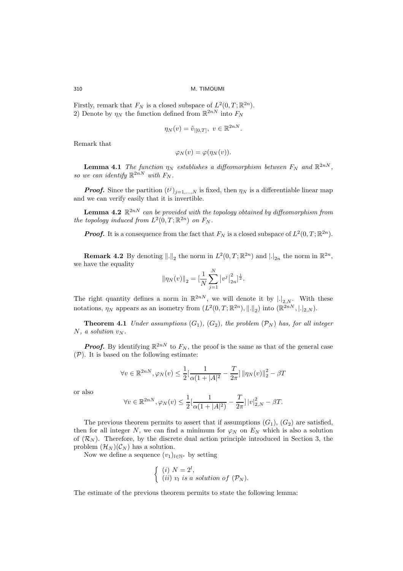Firstly, remark that  $F_N$  is a closed subspace of  $L^2(0,T;\mathbb{R}^{2n})$ . 2) Denote by  $\eta_N$  the function defined from  $\mathbb{R}^{2n}$  into  $F_N$ 

$$
\eta_N(v) = \tilde{v}_{|[0,T]}, \ v \in \mathbb{R}^{2nN}.
$$

Remark that

$$
\varphi_N(v) = \varphi(\eta_N(v)).
$$

**Lemma 4.1** The function  $\eta_N$  establishes a diffeomorphism between  $F_N$  and  $\mathbb{R}^{2nN}$ , so we can identify  $\mathbb{R}^{2n}$  with  $F_N$ .

**Proof.** Since the partition  $(t^j)_{j=1,\dots,N}$  is fixed, then  $\eta_N$  is a differentiable linear map and we can verify easily that it is invertible.

**Lemma 4.2**  $\mathbb{R}^{2n}$  can be provided with the topology obtained by diffeomorphism from the topology induced from  $L^2(0,T;\mathbb{R}^{2n})$  on  $F_N$ .

**Proof.** It is a consequence from the fact that  $F_N$  is a closed subspace of  $L^2(0,T;\mathbb{R}^{2n})$ .

**Remark 4.2** By denoting  $\|\cdot\|_2$  the norm in  $L^2(0,T;\mathbb{R}^{2n})$  and  $|\cdot|_{2n}$  the norm in  $\mathbb{R}^{2n}$ , we have the equality

$$
\|\eta_N(v)\|_2 = \left[\frac{1}{N}\sum_{j=1}^N \left|v^j\right|_{2n}^2\right]^{\frac{1}{2}}.
$$

The right quantity defines a norm in  $\mathbb{R}^{2n}$ , we will denote it by  $|.|_{2,N}$ . With these notations,  $\eta_N$  appears as an isometry from  $(L^2(0,T;\mathbb{R}^{2n}),\|.\|_2)$  into  $(\mathbb{R}^{2nN},\|.\|_{2,N})$ .

**Theorem 4.1** Under assumptions  $(G_1)$ ,  $(G_2)$ , the problem  $(\mathcal{P}_N)$  has, for all integer  $N$ , a solution  $v_N$ .

**Proof.** By identifying  $\mathbb{R}^{2n}$  to  $F_N$ , the proof is the same as that of the general case  $(\mathcal{P})$ . It is based on the following estimate:

$$
\forall v \in \mathbb{R}^{2nN}, \varphi_N(v) \le \frac{1}{2} \left[ \frac{1}{\alpha(1+|A|^2} - \frac{T}{2\pi}) \left\| \eta_N(v) \right\|_2^2 - \beta T
$$

or also

$$
\forall v \in \mathbb{R}^{2nN}, \varphi_N(v) \le \frac{1}{2} \left[ \frac{1}{\alpha(1+|A|^2)} - \frac{T}{2\pi} \right] |v|_{2,N}^2 - \beta T.
$$

The previous theorem permits to assert that if assumptions  $(G_1), (G_2)$  are satisfied, then for all integer N, we can find a minimum for  $\varphi_N$  on  $E_N$  which is also a solution of  $(\mathcal{R}_N)$ . Therefore, by the discrete dual action principle introduced in Section 3, the problem  $(\mathcal{H}_N)(\mathcal{C}_N)$  has a solution.

Now we define a sequence  $(v_1)_{l \in \mathbb{N}^*}$  by setting

$$
\begin{cases} (i) N = 2^l, \\ (ii) v_l \text{ is a solution of } (\mathcal{P}_N). \end{cases}
$$

The estimate of the previous theorem permits to state the following lemma: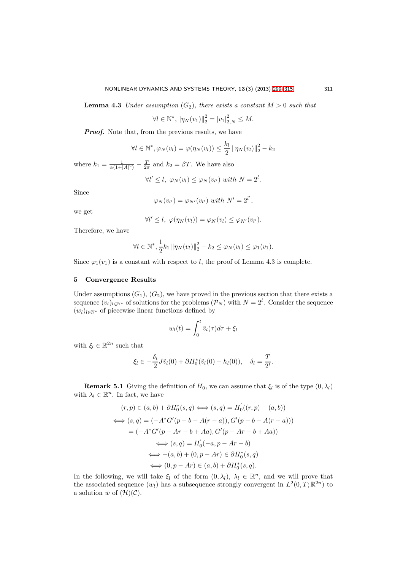**Lemma 4.3** Under assumption  $(G_2)$ , there exists a constant  $M > 0$  such that

$$
\forall l \in \mathbb{N}^*, \|\eta_N(v_1)\|_2^2 = |v_1|_{2,N}^2 \le M.
$$

**Proof.** Note that, from the previous results, we have

$$
\forall l \in \mathbb{N}^*, \varphi_N(v_l) = \varphi(\eta_N(v_l)) \le \frac{k_l}{2} \|\eta_N(v_l)\|_2^2 - k_2
$$

where  $k_1 = \frac{1}{\alpha(1+|A|^2)} - \frac{T}{2\pi}$  and  $k_2 = \beta T$ . We have also

$$
\forall l' \leq l, \; \varphi_N(v_l) \leq \varphi_N(v_{l'}) \; with \; N = 2^l.
$$

Since

$$
\varphi_N(v_{l'}) = \varphi_{N'}(v_{l'}) \ with \ N' = 2^{l'},
$$

we get

$$
\forall l' \leq l, \ \varphi(\eta_N(v_l)) = \varphi_N(v_l) \leq \varphi_{N'}(v_{l'}).
$$

Therefore, we have

$$
\forall l \in \mathbb{N}^*, \frac{1}{2} k_1 \| \eta_N(v_l) \|_2^2 - k_2 \le \varphi_N(v_l) \le \varphi_1(v_1).
$$

Since  $\varphi_1(v_1)$  is a constant with respect to l, the proof of Lemma 4.3 is complete.

### 5 Convergence Results

Under assumptions  $(G_1), (G_2)$ , we have proved in the previous section that there exists a sequence  $(v_l)_{l \in \mathbb{N}^*}$  of solutions for the problems  $(\mathcal{P}_N)$  with  $N = 2^l$ . Consider the sequence  $(w_l)_{l ∈ \mathbb{N}^*}$  of piecewise linear functions defined by

$$
w_l(t) = \int_0^t \tilde{v}_l(\tau) d\tau + \xi_l
$$

with  $\xi_l \in \mathbb{R}^{2n}$  such that

$$
\xi_l \in -\frac{\delta_l}{2} J\tilde{v}_l(0) + \partial H_0^*(\tilde{v}_l(0) - h_l(0)), \quad \delta_l = \frac{T}{2^l}.
$$

**Remark 5.1** Giving the definition of  $H_0$ , we can assume that  $\xi_l$  is of the type  $(0, \lambda_l)$ with  $\lambda_l \in \mathbb{R}^n$ . In fact, we have

$$
(r, p) \in (a, b) + \partial H_0^*(s, q) \iff (s, q) = H_0'((r, p) - (a, b))
$$
  
\n
$$
\iff (s, q) = (-A^*G'(p - b - A(r - a)), G'(p - b - A(r - a)))
$$
  
\n
$$
= (-A^*G'(p - Ar - b + Aa), G'(p - Ar - b + Aa))
$$
  
\n
$$
\iff (s, q) = H_0'(-a, p - Ar - b)
$$
  
\n
$$
\iff -(a, b) + (0, p - Ar) \in \partial H_0^*(s, q)
$$
  
\n
$$
\iff (0, p - Ar) \in (a, b) + \partial H_0^*(s, q).
$$

In the following, we will take  $\xi_l$  of the form  $(0, \lambda_l)$ ,  $\lambda_l \in \mathbb{R}^n$ , and we will prove that the associated sequence  $(w_l)$  has a subsequence strongly convergent in  $L^2(0,T;\mathbb{R}^{2n})$  to a solution  $\bar{w}$  of  $(\mathcal{H})(\mathcal{C})$ .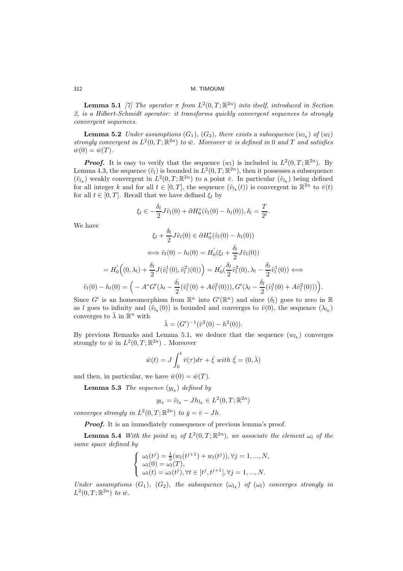**Lemma 5.1** [7] The operator  $\pi$  from  $L^2(0,T;\mathbb{R}^{2n})$  into itself, introduced in Section 2, is a Hilbert-Schmidt operator: it transforms quickly convergent sequences to strongly convergent sequences.

**Lemma 5.2** Under assumptions  $(G_1)$ ,  $(G_2)$ , there exists a subsequence  $(w_{l_k})$  of  $(w_l)$ strongly convergent in  $L^2(0,T;\mathbb{R}^{2n})$  to  $\bar{w}$ . Moreover  $\bar{w}$  is defined in 0 and T and satisfies  $\bar{w}(0) = \bar{w}(T)$ .

**Proof.** It is easy to verify that the sequence  $(w_l)$  is included in  $L^2(0,T;\mathbb{R}^{2n})$ . By Lemma 4.3, the sequence  $(\tilde{v}_l)$  is bounded in  $L^2(0,T;\mathbb{R}^{2n})$ , then it possesses a subsequence  $(\tilde{v}_{l_k})$  weakly convergent in  $L^2(0,T;\mathbb{R}^{2n})$  to a point  $\bar{v}$ . In particular  $(\tilde{v}_{l_k})$  being defined for all integer k and for all  $t \in [0,T]$ , the sequence  $(\tilde{v}_{l_k}(t))$  is convergent in  $\mathbb{R}^{2n}$  to  $\bar{v}(t)$ for all  $t \in [0, T]$ . Recall that we have defined  $\xi_l$  by

$$
\xi_l \in -\frac{\delta_l}{2} J\tilde{v}_l(0) + \partial H_0^*(\tilde{v}_l(0) - h_l(0)), \delta_l = \frac{T}{2^l}.
$$

We have

$$
\xi_l + \frac{\delta_l}{2} J \tilde{v}_l(0) \in \partial H_0^*(\tilde{v}_l(0) - h_l(0))
$$
  
\n
$$
\iff \tilde{v}_l(0) - h_l(0) = H_0'(\xi_l + \frac{\delta_l}{2} J \tilde{v}_l(0))
$$
  
\n
$$
= H_0' \Big( (0, \lambda_l) + \frac{\delta_l}{2} J(\tilde{v}_l^1(0), \tilde{v}_l^2)(0)) \Big) = H_0' \Big( \frac{\delta_l}{2} \tilde{v}_l^2(0), \lambda_l - \frac{\delta_l}{2} \tilde{v}_l^1(0) \Big) \iff
$$
  
\n
$$
\tilde{v}_l(0) - h_l(0) = \Big( -A^* G'(\lambda_l - \frac{\delta_l}{2} (\tilde{v}_l^1(0) + A \tilde{v}_l^2(0))), G'(\lambda_l - \frac{\delta_l}{2} (\tilde{v}_l^1(0) + A \tilde{v}_l^2(0))) \Big).
$$

Since G' is an homeomorphism from  $\mathbb{R}^n$  into  $G'(\mathbb{R}^n)$  and since  $(\delta_l)$  goes to zero in  $\mathbb R$ as l goes to infinity and  $(\tilde{v}_{l_k}(0))$  is bounded and converges to  $\bar{v}(0)$ , the sequence  $(\lambda_{l_k})$ converges to  $\bar{\lambda}$  in  $\mathbb{R}^n$  with

$$
\bar{\lambda} = (G')^{-1}(\bar{v}^2(0) - h^2(0)).
$$

By previous Remarks and Lemma 5.1, we deduce that the sequence  $(w_{l_k})$  converges strongly to  $\bar{w}$  in  $L^2(0,T;\mathbb{R}^{2n})$ . Moreover

$$
\bar{w}(t) = J \int_0^t \bar{v}(\tau) d\tau + \bar{\xi} \ with \ \bar{\xi} = (0, \bar{\lambda})
$$

and then, in particular, we have  $\bar{w}(0) = \bar{w}(T)$ .

**Lemma 5.3** The sequence  $(y_{l_k})$  defined by

$$
y_{l_k} = \tilde{v}_{l_k} - Jh_{l_k} \in L^2(0, T; \mathbb{R}^{2n})
$$

converges strongly in  $L^2(0,T;\mathbb{R}^{2n})$  to  $\bar{y} = \bar{v} - Jh$ .

**Proof.** It is an immediately consequence of previous lemma's proof.

**Lemma 5.4** With the point  $w_l$  of  $L^2(0,T;\mathbb{R}^{2n})$ , we associate the element  $\omega_l$  of the same space defined by

$$
\begin{cases}\n\omega_l(t^j) = \frac{1}{2}(w_l(t^{j+1}) + w_l(t^j)), \forall j = 1, ..., N, \\
\omega_l(0) = \omega_l(T), \\
\omega_l(t) = \omega_l(t^j), \forall t \in [t^j, t^{j+1}], \forall j = 1, ..., N.\n\end{cases}
$$

Under assumptions  $(G_1)$ ,  $(G_2)$ , the subsequence  $(\omega_{l_k})$  of  $(\omega_l)$  converges strongly in  $L^2(0,T;\mathbb{R}^{2n})$  to  $\bar{w}$ .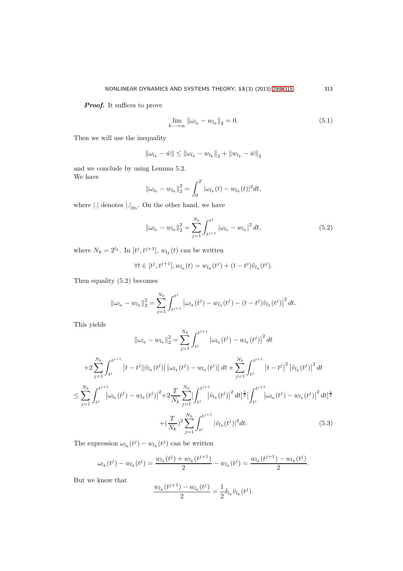Proof. It suffices to prove

$$
\lim_{k \to \infty} \|\omega_{l_k} - w_{l_k}\|_2 = 0. \tag{5.1}
$$

Then we will use the inequality

$$
\|\omega_{l_k} - \bar{w}\| \le \|\omega_{l_k} - w_{l_k}\|_2 + \|w_{l_k} - \bar{w}\|_2
$$

and we conclude by using Lemma 5.2. We have

$$
\|\omega_{l_k} - w_{l_k}\|_2^2 = \int_0^T |\omega_{l_k}(t) - w_{l_k}(t)|^2 dt,
$$

where  $\left| . \right|$  denotes  $\left| . \right|_{2n}$ . On the other hand, we have

$$
\|\omega_{l_k} - w_{l_k}\|_2^2 = \sum_{j=1}^{N_k} \int_{t^{j+1}}^{t^j} |\omega_{l_k} - w_{l_k}|^2 dt,
$$
\n(5.2)

where  $N_k = 2^{l_k}$ . In  $[t^j, t^{j+1}], w_{l_k}(t)$  can be written

$$
\forall t \in [t^j, t^{j+1}], w_{l_k}(t) = w_{l_k}(t^j) + (t - t^j)\tilde{v}_{l_k}(t^j).
$$

Then equality (5.2) becomes

$$
\|\omega_{l_k} - w_{l_k}\|_2^2 = \sum_{j=1}^{N_k} \int_{t^{j+1}}^{t^j} \left| \omega_{l_k}(t^j) - w_{l_k}(t^j) - (t - t^j)\tilde{v}_{l_k}(t^j) \right|^2 dt.
$$

This yields

$$
\|\omega_{l_{k}} - w_{l_{k}}\|_{2}^{2} = \sum_{j=1}^{N_{k}} \int_{t^{j}}^{t^{j+1}} \left|\omega_{l_{k}}(t^{j}) - w_{l_{k}}(t^{j})\right|^{2} dt
$$
  
+2
$$
\sum_{j=1}^{N_{k}} \int_{t^{j}}^{t^{j+1}} \left|t - t^{j}\right| \left|\tilde{v}_{l_{k}}(t^{j})\right| \left|\omega_{l_{k}}(t^{j}) - w_{l_{k}}(t^{j})\right| dt + \sum_{j=1}^{N_{k}} \int_{t^{j}}^{t^{j+1}} \left|t - t^{j}\right|^{2} \left|\tilde{v}_{l_{k}}(t^{j})\right|^{2} dt
$$
  

$$
\leq \sum_{j=1}^{N_{k}} \int_{t^{j}}^{t^{j+1}} \left|\omega_{l_{k}}(t^{j}) - w_{l_{k}}(t^{j})\right|^{2} + 2 \frac{T}{N_{k}} \sum_{j=1}^{N_{k}} \left[\int_{t^{j}}^{t^{j+1}} \left|\tilde{v}_{l_{k}}(t^{j})\right|^{2} dt\right] \frac{1}{2} \left[\int_{t^{j}}^{t^{j+1}} \left|\omega_{l_{k}}(t^{j}) - w_{l_{k}}(t^{j})\right|^{2} dt\right] \frac{1}{2}
$$
  
+
$$
(\frac{T}{N_{k}})^{2} \sum_{j=1}^{N_{k}} \int_{t^{j}}^{t^{j+1}} \left|\tilde{v}_{l_{k}}(t^{j})\right|^{2} dt.
$$
 (5.3)

The expression  $\omega_{l_k}(t^j) - w_{l_k}(t^j)$  can be written

$$
\omega_{l_k}(t^j) - w_{l_k}(t^j) = \frac{w_{l_k}(t^j) + w_{l_k}(t^{j+1})}{2} - w_{l_k}(t^j) = \frac{w_{l_k}(t^{j+1}) - w_{l_k}(t^j)}{2}.
$$

But we know that

$$
\frac{w_{l_k}(t^{j+1}) - w_{l_k}(t^j)}{2} = \frac{1}{2} \delta_{l_k} \tilde{v}_{l_k}(t^j).
$$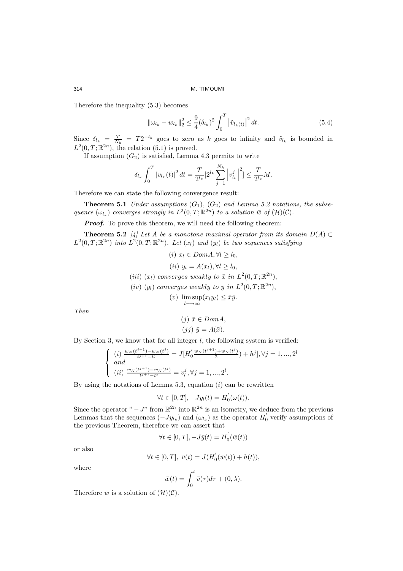Therefore the inequality (5.3) becomes

$$
\|\omega_{l_k} - w_{l_k}\|_2^2 \le \frac{9}{4} (\delta_{l_k})^2 \int_0^T |\tilde{v}_{l_k(t)}|^2 dt.
$$
 (5.4)

Since  $\delta_{l_k} = \frac{T}{N_k} = T 2^{-l_k}$  goes to zero as k goes to infinity and  $\tilde{v}_{l_k}$  is bounded in  $L^2(0,T;\mathbb{R}^{2n})$ , the relation (5.1) is proved.

If assumption  $(G_2)$  is satisfied, Lemma 4.3 permits to write

$$
\delta_{l_k} \int_0^T |v_{l_k}(t)|^2 dt = \frac{T}{2^{l_k}} [2^{l_k} \sum_{j=1}^{N_k} |v_{l_k}^j|^2] \le \frac{T}{2^{l_k}} M.
$$

Therefore we can state the following convergence result:

**Theorem 5.1** Under assumptions  $(G_1)$ ,  $(G_2)$  and Lemma 5.2 notations, the subsequence  $(\omega_{l_k})$  converges strongly in  $L^2(0,T;\mathbb{R}^{2n})$  to a solution  $\bar{w}$  of  $(\mathcal{H})(\mathcal{C})$ .

Proof. To prove this theorem, we will need the following theorem:

**Theorem 5.2** [4] Let A be a monotone maximal operator from its domain  $D(A) \subset$  $L^2(0,T;\mathbb{R}^{2n})$  into  $L^2(0,T;\mathbb{R}^{2n})$ . Let  $(x_l)$  and  $(y_l)$  be two sequences satisfying

$$
(i) \ x_l \in Dom A, \forall l \ge l_0,
$$
  
\n
$$
(ii) \ y_l = A(x_l), \forall l \ge l_0,
$$
  
\n
$$
(iii) \ (x_l) \ converges \ weakly \ to \ \bar{x} \ in \ L^2(0, T; \mathbb{R}^{2n}),
$$
  
\n
$$
(iv) \ (y_l) \ converges \ weakly \ to \ \bar{y} \ in \ L^2(0, T; \mathbb{R}^{2n}),
$$
  
\n
$$
(v) \ \limsup_{l \to \infty} (x_l y_l) \le \bar{x} \bar{y}.
$$

Then

$$
(j) \ \bar{x} \in Dom A,
$$

$$
(jj) \ \bar{y} = A(\bar{x}).
$$

By Section 3, we know that for all integer  $l$ , the following system is verified:

$$
\begin{cases}\n(i) \frac{w_N(t^{j+1}) - w_N(t^j)}{t^{j+1} - t^j} = J[H'_0 \frac{w_N(t^{j+1}) + w_N(t^j)}{2}) + h^j], \forall j = 1, ..., 2^l \\
and \\
(ii) \frac{w_N(t^{j+1}) - w_N(t^j)}{t^{j+1} - t^j} = v_l^j, \forall j = 1, ..., 2^l.\n\end{cases}
$$

By using the notations of Lemma 5.3, equation  $(i)$  can be rewritten

$$
\forall t\in [0,T], -Jy_l(t)=H_0^{'}(\omega(t)).
$$

Since the operator " $-J$ " from  $\mathbb{R}^{2n}$  into  $\mathbb{R}^{2n}$  is an isometry, we deduce from the previous Lemmas that the sequences  $(-Jy_{l_k})$  and  $(\omega_{l_k})$  as the operator  $H_0'$  verify assumptions of the previous Theorem, therefore we can assert that

$$
\forall t \in [0, T], -J\bar{y}(t) = H_0^{'}(\bar{w}(t))
$$

or also

$$
\forall t \in [0, T], \ \overline{v}(t) = J(H'_0(\overline{w}(t)) + h(t)),
$$

where

$$
\bar{w}(t) = \int_0^t \bar{v}(\tau) d\tau + (0, \bar{\lambda}).
$$

Therefore  $\bar{w}$  is a solution of  $(\mathcal{H})(\mathcal{C})$ .